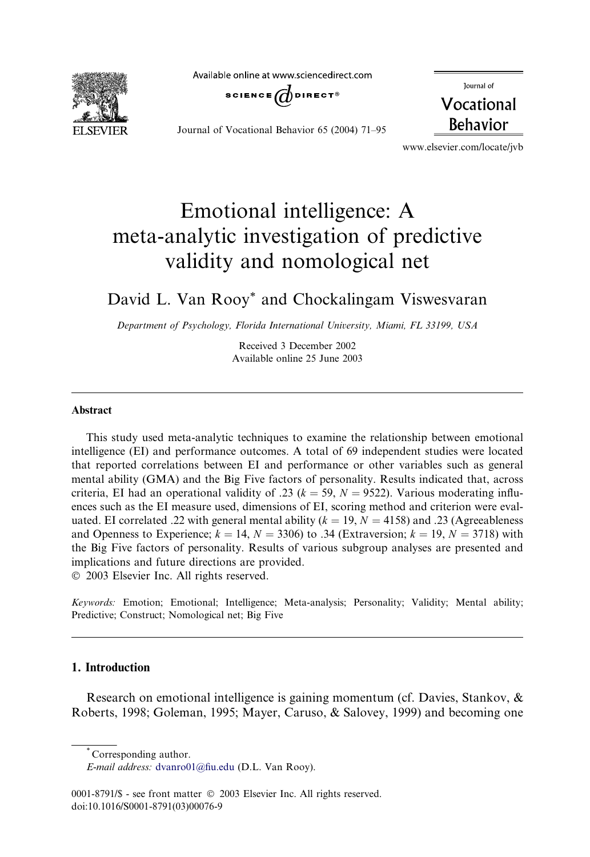**ELSEVIER** 

Available online at www.sciencedirect.com



Journal of Vocational Behavior 65 (2004) 71–95

Journal of Vocational **Behavior** 

www.elsevier.com/locate/jvb

# Emotional intelligence: A meta-analytic investigation of predictive validity and nomological net

## David L. Van Rooy\* and Chockalingam Viswesvaran

Department of Psychology, Florida International University, Miami, FL 33199, USA

Received 3 December 2002 Available online 25 June 2003

### Abstract

This study used meta-analytic techniques to examine the relationship between emotional intelligence (EI) and performance outcomes. A total of 69 independent studies were located that reported correlations between EI and performance or other variables such as general mental ability (GMA) and the Big Five factors of personality. Results indicated that, across criteria, EI had an operational validity of .23 ( $k = 59$ ,  $N = 9522$ ). Various moderating influences such as the EI measure used, dimensions of EI, scoring method and criterion were evaluated. EI correlated .22 with general mental ability ( $k = 19, N = 4158$ ) and .23 (Agreeableness and Openness to Experience;  $k = 14$ ,  $N = 3306$ ) to .34 (Extraversion;  $k = 19$ ,  $N = 3718$ ) with the Big Five factors of personality. Results of various subgroup analyses are presented and implications and future directions are provided.

2003 Elsevier Inc. All rights reserved.

Keywords: Emotion; Emotional; Intelligence; Meta-analysis; Personality; Validity; Mental ability; Predictive; Construct; Nomological net; Big Five

### 1. Introduction

Research on emotional intelligence is gaining momentum (cf. Davies, Stankov, & Roberts, 1998; Goleman, 1995; Mayer, Caruso, & Salovey, 1999) and becoming one

<sup>\*</sup> Corresponding author.

E-mail address: [dvanro01@fiu.edu](mail to: dvanro01@fiu.edu) (D.L. Van Rooy).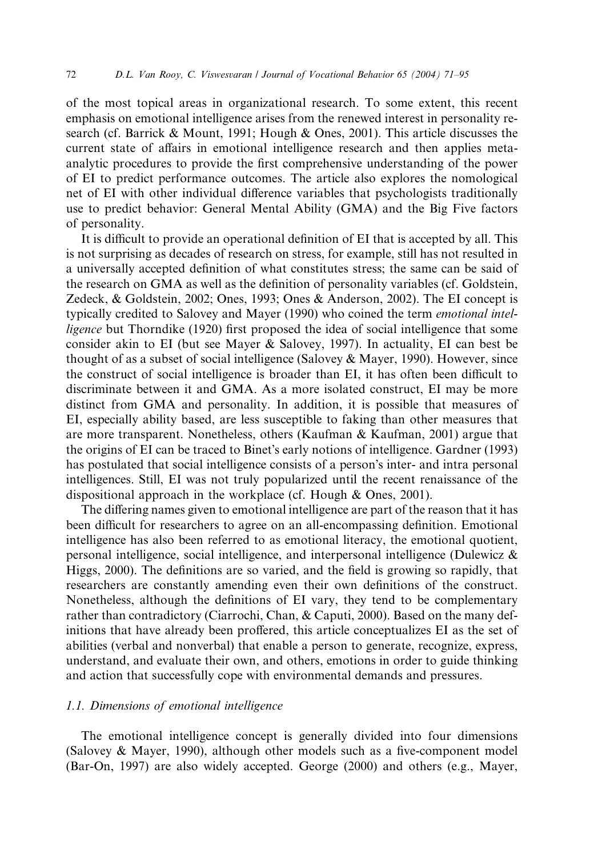of the most topical areas in organizational research. To some extent, this recent emphasis on emotional intelligence arises from the renewed interest in personality research (cf. Barrick & Mount, 1991; Hough & Ones, 2001). This article discusses the current state of affairs in emotional intelligence research and then applies metaanalytic procedures to provide the first comprehensive understanding of the power of EI to predict performance outcomes. The article also explores the nomological net of EI with other individual difference variables that psychologists traditionally use to predict behavior: General Mental Ability (GMA) and the Big Five factors of personality.

It is difficult to provide an operational definition of EI that is accepted by all. This is not surprising as decades of research on stress, for example, still has not resulted in a universally accepted definition of what constitutes stress; the same can be said of the research on GMA as well as the definition of personality variables (cf. Goldstein, Zedeck, & Goldstein, 2002; Ones, 1993; Ones & Anderson, 2002). The EI concept is typically credited to Salovey and Mayer (1990) who coined the term emotional intelligence but Thorndike (1920) first proposed the idea of social intelligence that some consider akin to EI (but see Mayer & Salovey, 1997). In actuality, EI can best be thought of as a subset of social intelligence (Salovey & Mayer, 1990). However, since the construct of social intelligence is broader than EI, it has often been difficult to discriminate between it and GMA. As a more isolated construct, EI may be more distinct from GMA and personality. In addition, it is possible that measures of EI, especially ability based, are less susceptible to faking than other measures that are more transparent. Nonetheless, others (Kaufman & Kaufman, 2001) argue that the origins of EI can be traced to Binet's early notions of intelligence. Gardner (1993) has postulated that social intelligence consists of a person's inter- and intra personal intelligences. Still, EI was not truly popularized until the recent renaissance of the dispositional approach in the workplace (cf. Hough & Ones, 2001).

The differing names given to emotional intelligence are part of the reason that it has been difficult for researchers to agree on an all-encompassing definition. Emotional intelligence has also been referred to as emotional literacy, the emotional quotient, personal intelligence, social intelligence, and interpersonal intelligence (Dulewicz & Higgs, 2000). The definitions are so varied, and the field is growing so rapidly, that researchers are constantly amending even their own definitions of the construct. Nonetheless, although the definitions of EI vary, they tend to be complementary rather than contradictory (Ciarrochi, Chan, & Caputi, 2000). Based on the many definitions that have already been proffered, this article conceptualizes EI as the set of abilities (verbal and nonverbal) that enable a person to generate, recognize, express, understand, and evaluate their own, and others, emotions in order to guide thinking and action that successfully cope with environmental demands and pressures.

#### 1.1. Dimensions of emotional intelligence

The emotional intelligence concept is generally divided into four dimensions (Salovey & Mayer, 1990), although other models such as a five-component model (Bar-On, 1997) are also widely accepted. George (2000) and others (e.g., Mayer,